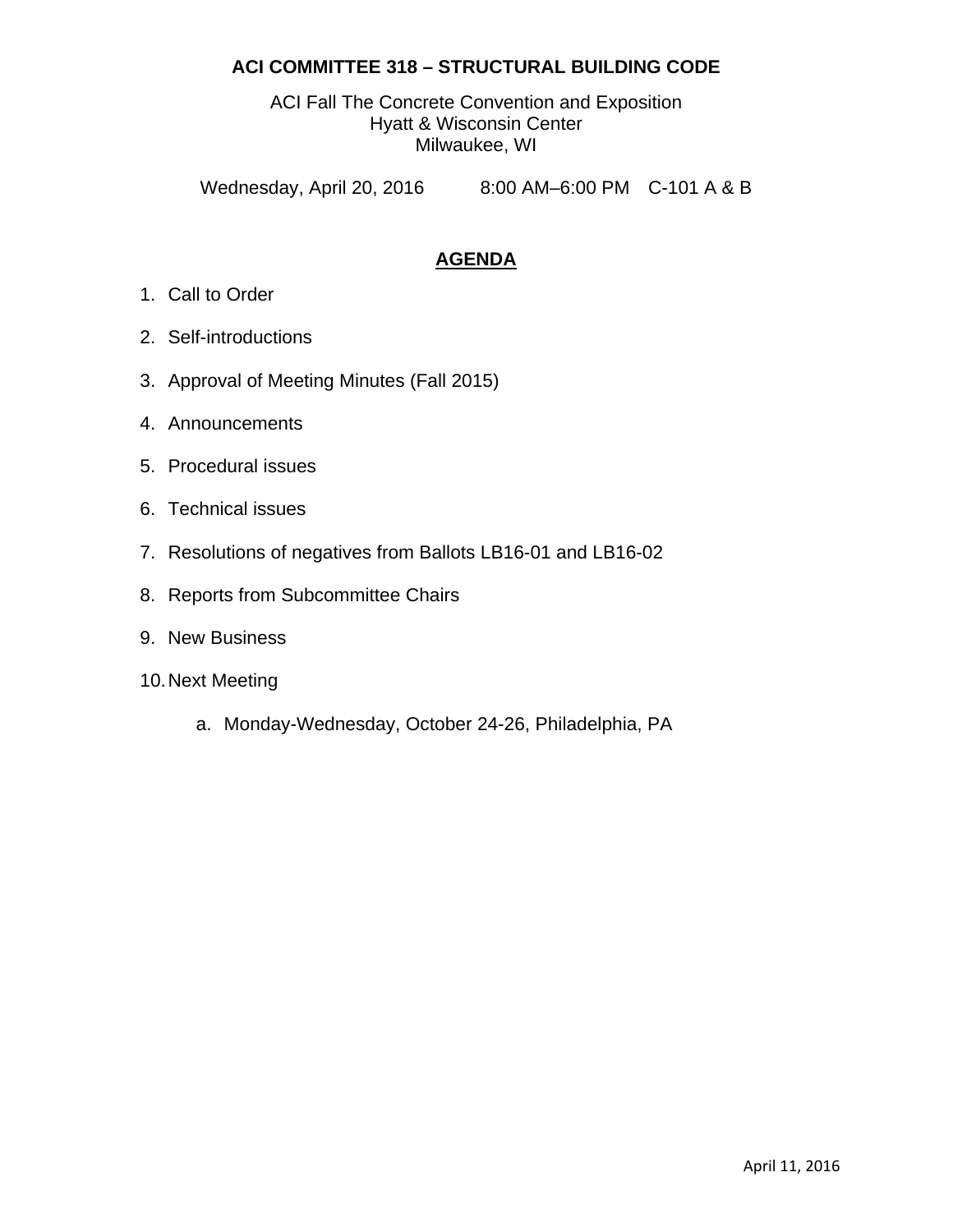## **ACI COMMITTEE 318 – STRUCTURAL BUILDING CODE**

ACI Fall The Concrete Convention and Exposition Hyatt & Wisconsin Center Milwaukee, WI

Wednesday, April 20, 2016 8:00 AM–6:00 PM C-101 A & B

## **AGENDA**

- 1. Call to Order
- 2. Self-introductions
- 3. Approval of Meeting Minutes (Fall 2015)
- 4. Announcements
- 5. Procedural issues
- 6. Technical issues
- 7. Resolutions of negatives from Ballots LB16-01 and LB16-02
- 8. Reports from Subcommittee Chairs
- 9. New Business
- 10. Next Meeting
	- a. Monday-Wednesday, October 24-26, Philadelphia, PA